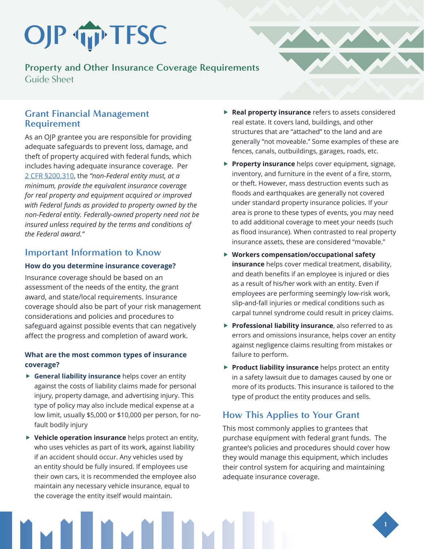# OJP TIP TFSC

**Property and Other Insurance Coverage Requirements**  Guide Sheet

## **Grant Financial Management Requirement**

As an OJP grantee you are responsible for providing adequate safeguards to prevent loss, damage, and theft of property acquired with federal funds, which includes having adequate insurance coverage. Per 2 CFR §200.310, the *"non-Federal entity must, at a minimum, provide the equivalent insurance coverage for real property and equipment acquired or improved with Federal funds as provided to property owned by the non-Federal entity. Federally-owned property need not be insured unless required by the terms and conditions of the Federal award."* 

## **Important Information to Know**

#### **How do you determine insurance coverage?**

Insurance coverage should be based on an assessment of the needs of the entity, the grant award, and state/local requirements. Insurance coverage should also be part of your risk management considerations and policies and procedures to safeguard against possible events that can negatively affect the progress and completion of award work.

#### **What are the most common types of insurance coverage?**

- **F** General liability insurance helps cover an entity against the costs of liability claims made for personal injury, property damage, and advertising injury. This type of policy may also include medical expense at a low limit, usually \$5,000 or \$10,000 per person, for nofault bodily injury
- **F** Vehicle operation insurance helps protect an entity, who uses vehicles as part of its work, against liability if an accident should occur. Any vehicles used by an entity should be fully insured. If employees use their own cars, it is recommended the employee also maintain any necessary vehicle insurance, equal to the coverage the entity itself would maintain.
- **Real property insurance** refers to assets considered real estate. It covers land, buildings, and other structures that are "attached" to the land and are generally "not moveable." Some examples of these are fences, canals, outbuildings, garages, roads, etc.
- **Property insurance** helps cover equipment, signage, inventory, and furniture in the event of a fire, storm, or theft. However, mass destruction events such as floods and earthquakes are generally not covered under standard property insurance policies. If your area is prone to these types of events, you may need to add additional coverage to meet your needs (such as flood insurance). When contrasted to real property insurance assets, these are considered "movable."
- ▶ Workers compensation/occupational safety **insurance** helps cover medical treatment, disability, and death benefits if an employee is injured or dies as a result of his/her work with an entity. Even if employees are performing seemingly low-risk work, slip-and-fall injuries or medical conditions such as carpal tunnel syndrome could result in pricey claims.
- **Professional liability insurance**, also referred to as errors and omissions insurance, helps cover an entity against negligence claims resulting from mistakes or failure to perform.
- **Product liability insurance** helps protect an entity in a safety lawsuit due to damages caused by one or more of its products. This insurance is tailored to the type of product the entity produces and sells.

# **How This Applies to Your Grant**

This most commonly applies to grantees that purchase equipment with federal grant funds. The grantee's policies and procedures should cover how they would manage this equipment, which includes their control system for acquiring and maintaining adequate insurance coverage.